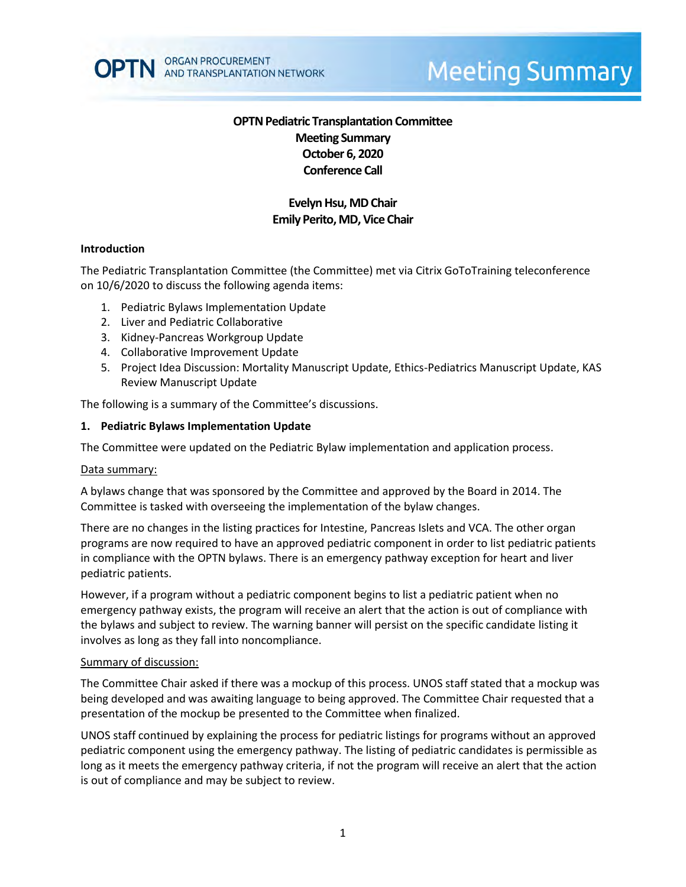

# **Meeting Summary**

# **OPTN Pediatric Transplantation Committee Meeting Summary October 6, 2020 Conference Call**

## **Evelyn Hsu, MDChair Emily Perito, MD, Vice Chair**

#### **Introduction**

The Pediatric Transplantation Committee (the Committee) met via Citrix GoToTraining teleconference on 10/6/2020 to discuss the following agenda items:

- 1. Pediatric Bylaws Implementation Update
- 2. Liver and Pediatric Collaborative
- 3. Kidney-Pancreas Workgroup Update
- 4. Collaborative Improvement Update
- 5. Project Idea Discussion: Mortality Manuscript Update, Ethics-Pediatrics Manuscript Update, KAS Review Manuscript Update

The following is a summary of the Committee's discussions.

#### **1. Pediatric Bylaws Implementation Update**

The Committee were updated on the Pediatric Bylaw implementation and application process.

#### Data summary:

A bylaws change that was sponsored by the Committee and approved by the Board in 2014. The Committee is tasked with overseeing the implementation of the bylaw changes.

There are no changes in the listing practices for Intestine, Pancreas Islets and VCA. The other organ programs are now required to have an approved pediatric component in order to list pediatric patients in compliance with the OPTN bylaws. There is an emergency pathway exception for heart and liver pediatric patients.

However, if a program without a pediatric component begins to list a pediatric patient when no emergency pathway exists, the program will receive an alert that the action is out of compliance with the bylaws and subject to review. The warning banner will persist on the specific candidate listing it involves as long as they fall into noncompliance.

#### Summary of discussion:

The Committee Chair asked if there was a mockup of this process. UNOS staff stated that a mockup was being developed and was awaiting language to being approved. The Committee Chair requested that a presentation of the mockup be presented to the Committee when finalized.

UNOS staff continued by explaining the process for pediatric listings for programs without an approved pediatric component using the emergency pathway. The listing of pediatric candidates is permissible as long as it meets the emergency pathway criteria, if not the program will receive an alert that the action is out of compliance and may be subject to review.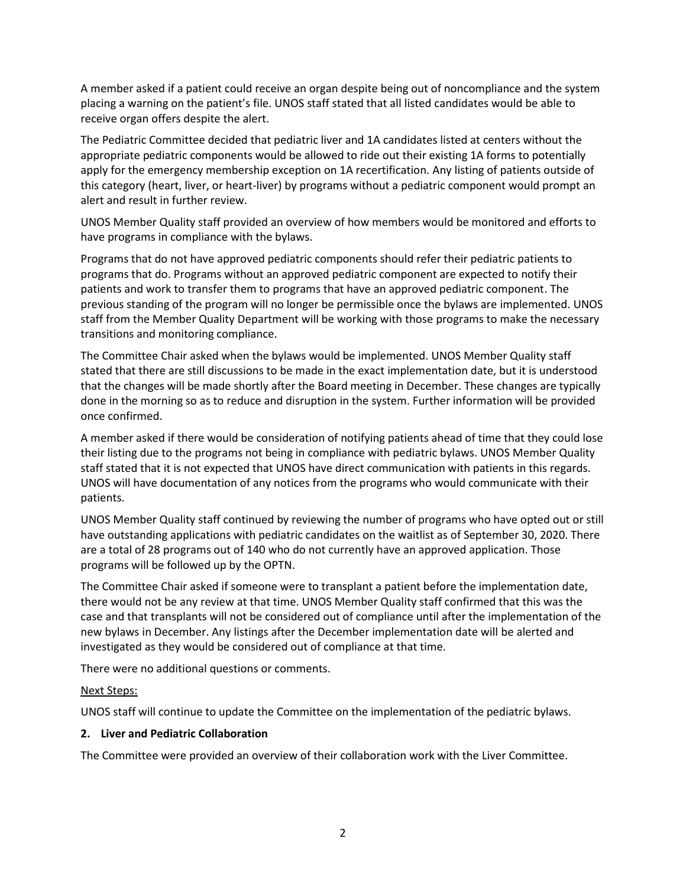A member asked if a patient could receive an organ despite being out of noncompliance and the system placing a warning on the patient's file. UNOS staff stated that all listed candidates would be able to receive organ offers despite the alert.

The Pediatric Committee decided that pediatric liver and 1A candidates listed at centers without the appropriate pediatric components would be allowed to ride out their existing 1A forms to potentially apply for the emergency membership exception on 1A recertification. Any listing of patients outside of this category (heart, liver, or heart-liver) by programs without a pediatric component would prompt an alert and result in further review.

UNOS Member Quality staff provided an overview of how members would be monitored and efforts to have programs in compliance with the bylaws.

Programs that do not have approved pediatric components should refer their pediatric patients to programs that do. Programs without an approved pediatric component are expected to notify their patients and work to transfer them to programs that have an approved pediatric component. The previous standing of the program will no longer be permissible once the bylaws are implemented. UNOS staff from the Member Quality Department will be working with those programs to make the necessary transitions and monitoring compliance.

The Committee Chair asked when the bylaws would be implemented. UNOS Member Quality staff stated that there are still discussions to be made in the exact implementation date, but it is understood that the changes will be made shortly after the Board meeting in December. These changes are typically done in the morning so as to reduce and disruption in the system. Further information will be provided once confirmed.

A member asked if there would be consideration of notifying patients ahead of time that they could lose their listing due to the programs not being in compliance with pediatric bylaws. UNOS Member Quality staff stated that it is not expected that UNOS have direct communication with patients in this regards. UNOS will have documentation of any notices from the programs who would communicate with their patients.

UNOS Member Quality staff continued by reviewing the number of programs who have opted out or still have outstanding applications with pediatric candidates on the waitlist as of September 30, 2020. There are a total of 28 programs out of 140 who do not currently have an approved application. Those programs will be followed up by the OPTN.

The Committee Chair asked if someone were to transplant a patient before the implementation date, there would not be any review at that time. UNOS Member Quality staff confirmed that this was the case and that transplants will not be considered out of compliance until after the implementation of the new bylaws in December. Any listings after the December implementation date will be alerted and investigated as they would be considered out of compliance at that time.

There were no additional questions or comments.

## Next Steps:

UNOS staff will continue to update the Committee on the implementation of the pediatric bylaws.

## **2. Liver and Pediatric Collaboration**

The Committee were provided an overview of their collaboration work with the Liver Committee.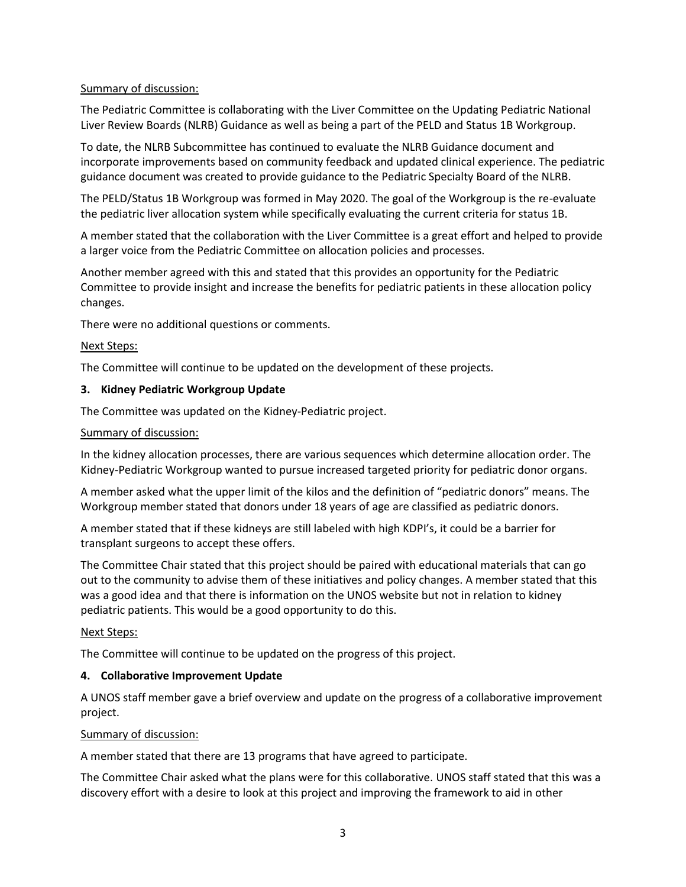## Summary of discussion:

The Pediatric Committee is collaborating with the Liver Committee on the Updating Pediatric National Liver Review Boards (NLRB) Guidance as well as being a part of the PELD and Status 1B Workgroup.

To date, the NLRB Subcommittee has continued to evaluate the NLRB Guidance document and incorporate improvements based on community feedback and updated clinical experience. The pediatric guidance document was created to provide guidance to the Pediatric Specialty Board of the NLRB.

The PELD/Status 1B Workgroup was formed in May 2020. The goal of the Workgroup is the re-evaluate the pediatric liver allocation system while specifically evaluating the current criteria for status 1B.

A member stated that the collaboration with the Liver Committee is a great effort and helped to provide a larger voice from the Pediatric Committee on allocation policies and processes.

Another member agreed with this and stated that this provides an opportunity for the Pediatric Committee to provide insight and increase the benefits for pediatric patients in these allocation policy changes.

There were no additional questions or comments.

## Next Steps:

The Committee will continue to be updated on the development of these projects.

## **3. Kidney Pediatric Workgroup Update**

The Committee was updated on the Kidney-Pediatric project.

## Summary of discussion:

In the kidney allocation processes, there are various sequences which determine allocation order. The Kidney-Pediatric Workgroup wanted to pursue increased targeted priority for pediatric donor organs.

A member asked what the upper limit of the kilos and the definition of "pediatric donors" means. The Workgroup member stated that donors under 18 years of age are classified as pediatric donors.

A member stated that if these kidneys are still labeled with high KDPI's, it could be a barrier for transplant surgeons to accept these offers.

The Committee Chair stated that this project should be paired with educational materials that can go out to the community to advise them of these initiatives and policy changes. A member stated that this was a good idea and that there is information on the UNOS website but not in relation to kidney pediatric patients. This would be a good opportunity to do this.

## Next Steps:

The Committee will continue to be updated on the progress of this project.

## **4. Collaborative Improvement Update**

A UNOS staff member gave a brief overview and update on the progress of a collaborative improvement project.

## Summary of discussion:

A member stated that there are 13 programs that have agreed to participate.

The Committee Chair asked what the plans were for this collaborative. UNOS staff stated that this was a discovery effort with a desire to look at this project and improving the framework to aid in other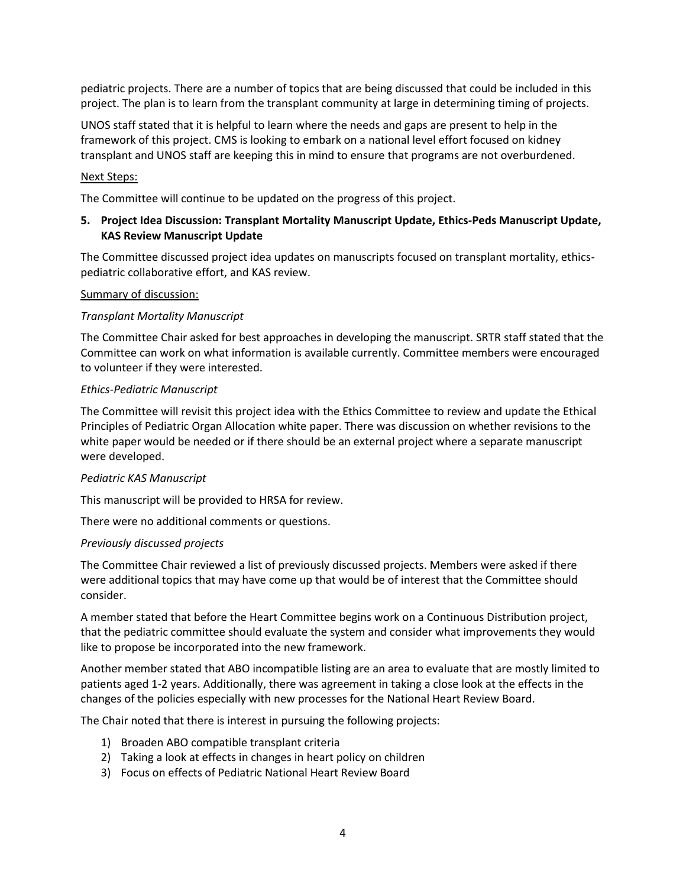pediatric projects. There are a number of topics that are being discussed that could be included in this project. The plan is to learn from the transplant community at large in determining timing of projects.

UNOS staff stated that it is helpful to learn where the needs and gaps are present to help in the framework of this project. CMS is looking to embark on a national level effort focused on kidney transplant and UNOS staff are keeping this in mind to ensure that programs are not overburdened.

## Next Steps:

The Committee will continue to be updated on the progress of this project.

## **5. Project Idea Discussion: Transplant Mortality Manuscript Update, Ethics-Peds Manuscript Update, KAS Review Manuscript Update**

The Committee discussed project idea updates on manuscripts focused on transplant mortality, ethicspediatric collaborative effort, and KAS review.

#### Summary of discussion:

#### *Transplant Mortality Manuscript*

The Committee Chair asked for best approaches in developing the manuscript. SRTR staff stated that the Committee can work on what information is available currently. Committee members were encouraged to volunteer if they were interested.

#### *Ethics-Pediatric Manuscript*

The Committee will revisit this project idea with the Ethics Committee to review and update the Ethical Principles of Pediatric Organ Allocation white paper. There was discussion on whether revisions to the white paper would be needed or if there should be an external project where a separate manuscript were developed.

#### *Pediatric KAS Manuscript*

This manuscript will be provided to HRSA for review.

There were no additional comments or questions.

## *Previously discussed projects*

The Committee Chair reviewed a list of previously discussed projects. Members were asked if there were additional topics that may have come up that would be of interest that the Committee should consider.

A member stated that before the Heart Committee begins work on a Continuous Distribution project, that the pediatric committee should evaluate the system and consider what improvements they would like to propose be incorporated into the new framework.

Another member stated that ABO incompatible listing are an area to evaluate that are mostly limited to patients aged 1-2 years. Additionally, there was agreement in taking a close look at the effects in the changes of the policies especially with new processes for the National Heart Review Board.

The Chair noted that there is interest in pursuing the following projects:

- 1) Broaden ABO compatible transplant criteria
- 2) Taking a look at effects in changes in heart policy on children
- 3) Focus on effects of Pediatric National Heart Review Board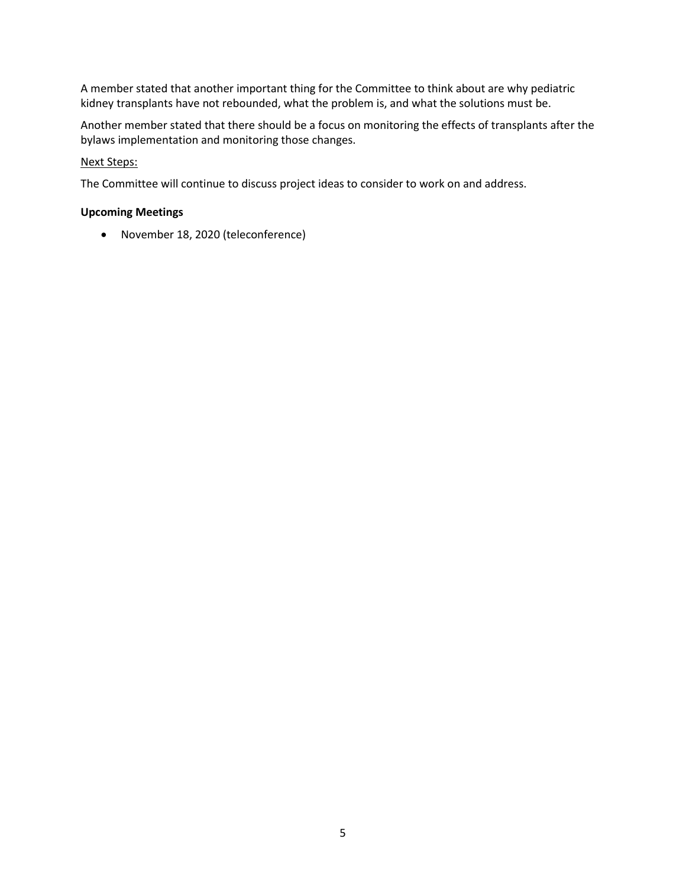A member stated that another important thing for the Committee to think about are why pediatric kidney transplants have not rebounded, what the problem is, and what the solutions must be.

Another member stated that there should be a focus on monitoring the effects of transplants after the bylaws implementation and monitoring those changes.

## Next Steps:

The Committee will continue to discuss project ideas to consider to work on and address.

## **Upcoming Meetings**

November 18, 2020 (teleconference)